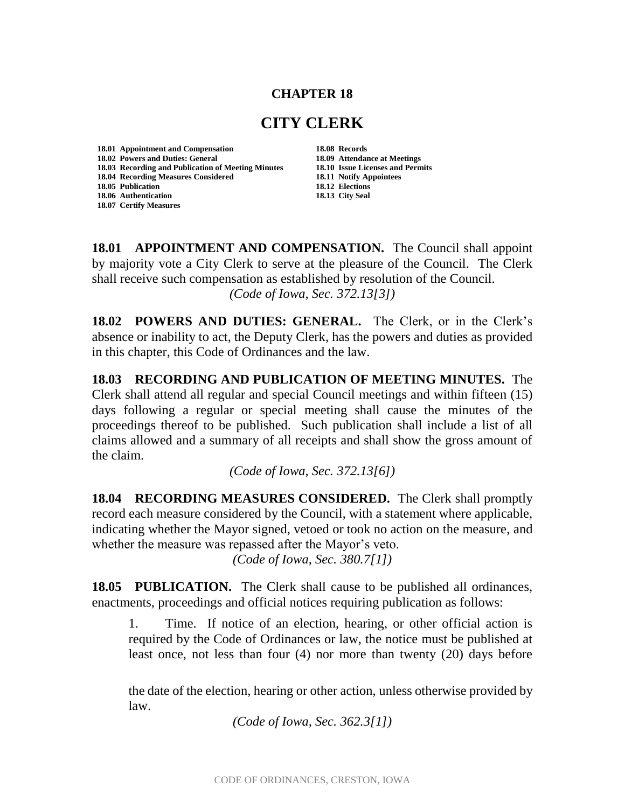## **CHAPTER 18**

## **CITY CLERK**

**18.01 Appointment and Compensation 18.08 Records 18.02 Powers and Duties: General 18.09 Attendance at Meetings 18.03 Recording and Publication of Meeting Minutes 18.04 Recording Measures Considered 18.11 Notify Appointees 18.05 Publication 18.06 Authentication 18.13 City Seal 18.07 Certify Measures**

**18.01 APPOINTMENT AND COMPENSATION.** The Council shall appoint by majority vote a City Clerk to serve at the pleasure of the Council. The Clerk shall receive such compensation as established by resolution of the Council. *(Code of Iowa, Sec. 372.13[3])*

**18.02 POWERS AND DUTIES: GENERAL.** The Clerk, or in the Clerk's absence or inability to act, the Deputy Clerk, has the powers and duties as provided in this chapter, this Code of Ordinances and the law.

**18.03 RECORDING AND PUBLICATION OF MEETING MINUTES.** The Clerk shall attend all regular and special Council meetings and within fifteen (15) days following a regular or special meeting shall cause the minutes of the proceedings thereof to be published. Such publication shall include a list of all claims allowed and a summary of all receipts and shall show the gross amount of the claim.

*(Code of Iowa, Sec. 372.13[6])*

**18.04 RECORDING MEASURES CONSIDERED.** The Clerk shall promptly record each measure considered by the Council, with a statement where applicable, indicating whether the Mayor signed, vetoed or took no action on the measure, and whether the measure was repassed after the Mayor's veto.

*(Code of Iowa, Sec. 380.7[1])*

**18.05 PUBLICATION.** The Clerk shall cause to be published all ordinances, enactments, proceedings and official notices requiring publication as follows:

1. Time. If notice of an election, hearing, or other official action is required by the Code of Ordinances or law, the notice must be published at least once, not less than four (4) nor more than twenty (20) days before

the date of the election, hearing or other action, unless otherwise provided by law.

*(Code of Iowa, Sec. 362.3[1])*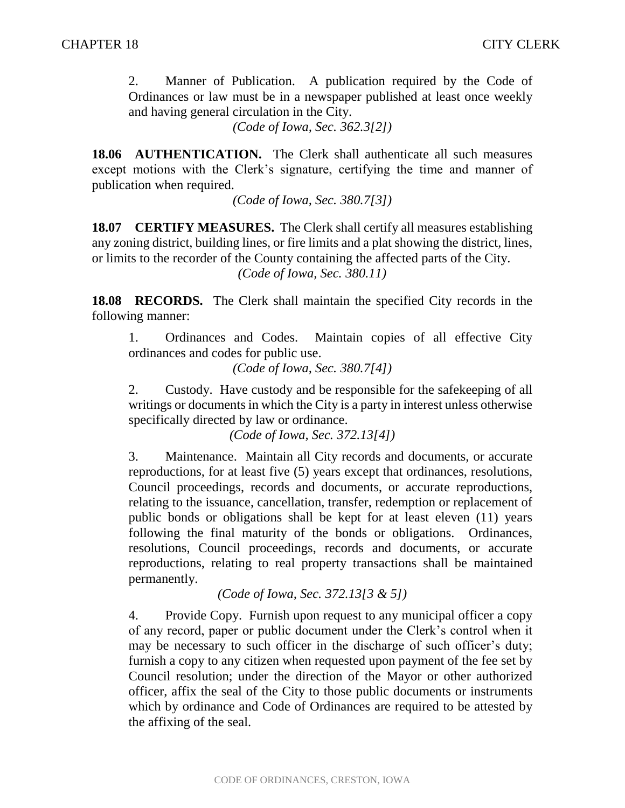2. Manner of Publication. A publication required by the Code of Ordinances or law must be in a newspaper published at least once weekly and having general circulation in the City.

*(Code of Iowa, Sec. 362.3[2])*

**18.06 AUTHENTICATION.** The Clerk shall authenticate all such measures except motions with the Clerk's signature, certifying the time and manner of publication when required.

*(Code of Iowa, Sec. 380.7[3])*

**18.07 CERTIFY MEASURES.** The Clerk shall certify all measures establishing any zoning district, building lines, or fire limits and a plat showing the district, lines, or limits to the recorder of the County containing the affected parts of the City. *(Code of Iowa, Sec. 380.11)*

**18.08 RECORDS.** The Clerk shall maintain the specified City records in the following manner:

1. Ordinances and Codes. Maintain copies of all effective City ordinances and codes for public use.

*(Code of Iowa, Sec. 380.7[4])*

2. Custody. Have custody and be responsible for the safekeeping of all writings or documents in which the City is a party in interest unless otherwise specifically directed by law or ordinance.

*(Code of Iowa, Sec. 372.13[4])*

3. Maintenance. Maintain all City records and documents, or accurate reproductions, for at least five (5) years except that ordinances, resolutions, Council proceedings, records and documents, or accurate reproductions, relating to the issuance, cancellation, transfer, redemption or replacement of public bonds or obligations shall be kept for at least eleven (11) years following the final maturity of the bonds or obligations. Ordinances, resolutions, Council proceedings, records and documents, or accurate reproductions, relating to real property transactions shall be maintained permanently.

*(Code of Iowa, Sec. 372.13[3 & 5])*

4. Provide Copy. Furnish upon request to any municipal officer a copy of any record, paper or public document under the Clerk's control when it may be necessary to such officer in the discharge of such officer's duty; furnish a copy to any citizen when requested upon payment of the fee set by Council resolution; under the direction of the Mayor or other authorized officer, affix the seal of the City to those public documents or instruments which by ordinance and Code of Ordinances are required to be attested by the affixing of the seal.